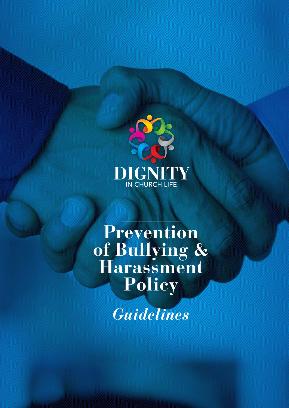

# **Prevention of Bullying & Harassment Policy**

*Guidelines*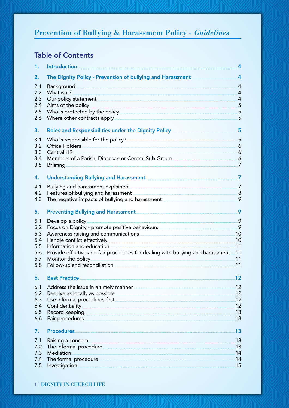## Table of Contents

| 1.  | <b>Introduction</b>                                                                                                                                                                                                                  | 4                           |
|-----|--------------------------------------------------------------------------------------------------------------------------------------------------------------------------------------------------------------------------------------|-----------------------------|
| 2.  | The Dignity Policy - Prevention of bullying and Harassment                                                                                                                                                                           | $\overline{A}$              |
| 2.1 | <b>Background</b>                                                                                                                                                                                                                    | $\overline{A}$              |
| 2.2 | What is it?                                                                                                                                                                                                                          | 4                           |
| 2.3 | Our policy statement example and the statement of the statement of the statement of the statement of the statement                                                                                                                   | $\mathcal{A}_{\mathcal{A}}$ |
| 2.4 | Aims of the policy.                                                                                                                                                                                                                  | 5                           |
| 2.5 |                                                                                                                                                                                                                                      | 5                           |
| 2.6 | Where other contracts apply                                                                                                                                                                                                          | 5                           |
| 3.  | Roles and Responsibilities under the Dignity Policy_____________________________                                                                                                                                                     | 5                           |
| 3.1 | Who is responsible for the policy?                                                                                                                                                                                                   | 5                           |
| 3.2 | Office Holders.                                                                                                                                                                                                                      | 6                           |
| 3.3 | <b>Central HR</b>                                                                                                                                                                                                                    | - 6                         |
| 3.4 | Members of a Parish, Diocesan or Central Sub-Group                                                                                                                                                                                   | $\overline{6}$              |
| 3.5 | <b>Briefing</b>                                                                                                                                                                                                                      | 7                           |
| 4.  | <b>Understanding Bullying and Harassment</b>                                                                                                                                                                                         | $\overline{\mathbf{z}}$     |
| 4.1 | Bullying and harassment explained                                                                                                                                                                                                    | 7                           |
| 4.2 | Features of bullying and harassment <b>Fig. 10</b> and the same of the state of the state of the state of the state of the state of the state of the state of the state of the state of the state of the state of the state of the   | - 8                         |
| 4.3 | The negative impacts of bullying and harassment <b>COVID-100</b> and harassment                                                                                                                                                      | 9                           |
| 5.  | Preventing Bullying and Harassment <b>Constant Act and Server Act and Act and Act and Act and Act and Act and Act a</b>                                                                                                              | 9                           |
| 5.1 | Develop a policy                                                                                                                                                                                                                     | .9                          |
| 5.2 | Focus on Dignity - promote positive behaviours <b>contained a manuform of the contained and contained a</b>                                                                                                                          | 9                           |
| 5.3 | Awareness raising and communications <b>Authority Communication</b>                                                                                                                                                                  | .10                         |
| 5.4 | Handle conflict effectively <b>Service Contract Contract Contract Contract Contract Contract Contract Contract Contract Contract Contract Contract Contract Contract Contract Contract Contract Contract Contract Contract Contr</b> | .10                         |
| 5.5 | Information and education                                                                                                                                                                                                            | 11                          |
| 5.6 | Provide effective and fair procedures for dealing with bullying and harassment                                                                                                                                                       | 11                          |
| 5.7 | Monitor the policy                                                                                                                                                                                                                   | .11                         |
| 5.8 | Follow-up and reconciliation.                                                                                                                                                                                                        | .11                         |
| 6.  | <b>Best Practice</b>                                                                                                                                                                                                                 | 12                          |
| 6.1 | Address the issue in a timely manner                                                                                                                                                                                                 | .12                         |
| 6.2 |                                                                                                                                                                                                                                      | 12                          |
| 6.3 | Use informal procedures first <b>container and the entity of the set of the set of the set of the set of the set of the set of the set of the set of the set of the set of the set of the set of the set of the set of the set o</b> | .12                         |
| 6.4 | Confidentiality                                                                                                                                                                                                                      | .12                         |
| 6.5 | Record keeping                                                                                                                                                                                                                       | .13                         |
| 6.6 | Fair procedures                                                                                                                                                                                                                      | 13                          |
| 7.  | <b>Procedures</b>                                                                                                                                                                                                                    | 13                          |
| 7.1 | Raising a concern <b>contract of the contract of the contract of the contract of the contract of the contract of the contract of the contract of the contract of the contract of the contract of the contract of the contract of</b> | 13                          |
| 7.2 | The informal procedure                                                                                                                                                                                                               | .13                         |
| 7.3 | Mediation.                                                                                                                                                                                                                           | .14                         |
| 7.4 | The formal procedure                                                                                                                                                                                                                 | .14                         |
| 7.5 | Investigation                                                                                                                                                                                                                        | .15                         |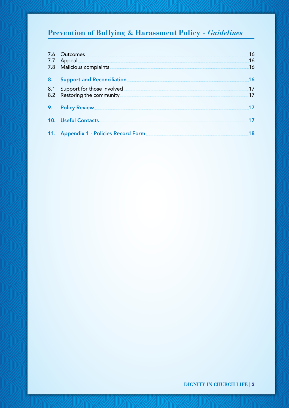| 7.6<br>7.7 | Outcomes<br>Appeal                                           | 16<br>16 |
|------------|--------------------------------------------------------------|----------|
|            | 7.8 Malicious complaints <b>Alicia Complaints</b>            | 16       |
| 8.         | Support and Reconciliation <b>Support</b> and Reconciliation | К        |
| 8.1        | Support for those involved                                   |          |
|            | 8.2 Restoring the community.                                 |          |
| 9.         | Policy Review                                                |          |
|            | 10. Useful Contacts                                          |          |
|            | 11. Appendix 1 - Policies Record Form                        |          |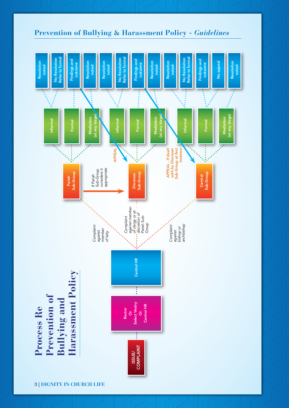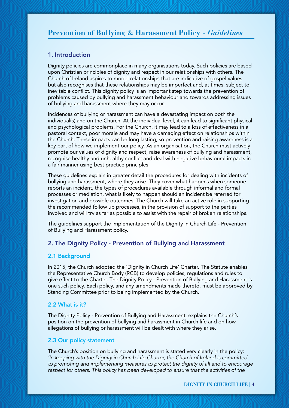### 1. Introduction

Dignity policies are commonplace in many organisations today. Such policies are based upon Christian principles of dignity and respect in our relationships with others. The Church of Ireland aspires to model relationships that are indicative of gospel values but also recognises that these relationships may be imperfect and, at times, subject to inevitable conflict. This dignity policy is an important step towards the prevention of problems caused by bullying and harassment behaviour and towards addressing issues of bullying and harassment where they may occur.

Incidences of bullying or harassment can have a devastating impact on both the individual(s) and on the Church. At the individual level, it can lead to significant physical and psychological problems. For the Church, it may lead to a loss of effectiveness in a pastoral context, poor morale and may have a damaging effect on relationships within the Church. These impacts can be long lasting, so prevention and raising awareness is a key part of how we implement our policy. As an organisation, the Church must actively promote our values of dignity and respect, raise awareness of bullying and harassment, recognise healthy and unhealthy conflict and deal with negative behavioural impacts in a fair manner using best practice principles.

These guidelines explain in greater detail the procedures for dealing with incidents of bullying and harassment, where they arise. They cover what happens when someone reports an incident, the types of procedures available through informal and formal processes or mediation, what is likely to happen should an incident be referred for investigation and possible outcomes. The Church will take an active role in supporting the recommended follow up processes, in the provision of support to the parties involved and will try as far as possible to assist with the repair of broken relationships.

The guidelines support the implementation of the Dignity in Church Life - Prevention of Bullying and Harassment policy.

### 2. The Dignity Policy - Prevention of Bullying and Harassment

### 2.1 Background

In 2015, the Church adopted the 'Dignity in Church Life' Charter. The Statute enables the Representative Church Body (RCB) to develop policies, regulations and rules to give effect to the Charter. The Dignity Policy - Prevention of Bullying and Harassment is one such policy. Each policy, and any amendments made thereto, must be approved by Standing Committee prior to being implemented by the Church.

### 2.2 What is it?

The Dignity Policy - Prevention of Bullying and Harassment, explains the Church's position on the prevention of bullying and harassment in Church life and on how allegations of bullying or harassment will be dealt with where they arise.

### 2.3 Our policy statement

The Church's position on bullying and harassment is stated very clearly in the policy: *'In keeping with the Dignity in Church Life Charter, the Church of Ireland is committed to promoting and implementing measures to protect the dignity of all and to encourage*  respect for others. This policy has been developed to ensure that the activities of the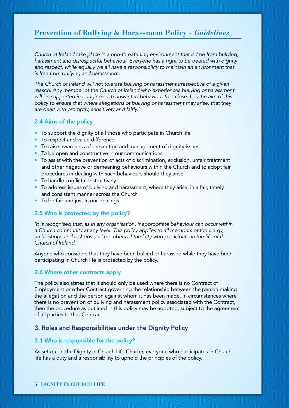*Church of Ireland take place in a non-threatening environment that is free from bullying, harassment and disrespectful behaviour. Everyone has a right to be treated with dignity*  and respect, while equally we all have a responsibility to maintain an environment that *is free from bullying and harassment.*

*The Church of Ireland will not tolerate bullying or harassment irrespective of a given*  reason. Any member of the Church of Ireland who experiences bullying or harassment *will be supported in bringing such unwanted behaviour to a close. It is the aim of this policy to ensure that where allegations of bullying or harassment may arise, that they are dealt with promptly, sensitively and fairly.'*

### 2.4 Aims of the policy

- To support the dignity of all those who participate in Church life
- To respect and value difference
- To raise awareness of prevention and management of dignity issues
- To be open and constructive in our communications
- To assist with the prevention of acts of discrimination, exclusion, unfair treatment and other negative or demeaning behaviours within the Church and to adopt fair procedures in dealing with such behaviours should they arise
- To handle conflict constructively
- To address issues of bullying and harassment, where they arise, in a fair, timely and consistent manner across the Church
- To be fair and just in our dealings.

### 2.5 Who is protected by the policy?

*'It is recognised that, as in any organisation, inappropriate behaviour can occur within a Church community at any level. This policy applies to all members of the clergy,*  archbishops and bishops and members of the laity who participate in the life of the *Church of Ireland.'*

Anyone who considers that they have been bullied or harassed while they have been participating in Church life is protected by the policy.

### 2.6 Where other contracts apply

The policy also states that it should only be used where there is no Contract of Employment or other Contract governing the relationship between the person making the allegation and the person against whom it has been made. In circumstances where there is no prevention of bullying and harassment policy associated with the Contract, then the procedure as outlined in this policy may be adopted, subject to the agreement of all parties to that Contract.

### 3. Roles and Responsibilities under the Dignity Policy

### 3.1 Who is responsible for the policy?

As set out in the Dignity in Church Life Charter, everyone who participates in Church life has a duty and a responsibility to uphold the principles of the policy.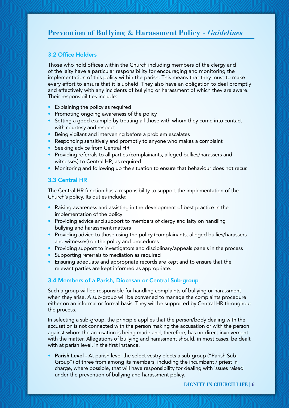### 3.2 Office Holders

Those who hold offices within the Church including members of the clergy and of the laity have a particular responsibility for encouraging and monitoring the implementation of this policy within the parish. This means that they must to make every effort to ensure that it is upheld. They also have an obligation to deal promptly and effectively with any incidents of bullying or harassment of which they are aware. Their responsibilities include:

- Explaining the policy as required
- Promoting ongoing awareness of the policy
- Setting a good example by treating all those with whom they come into contact with courtesy and respect
- Being vigilant and intervening before a problem escalates
- Responding sensitively and promptly to anyone who makes a complaint
- Seeking advice from Central HR
- Providing referrals to all parties (complainants, alleged bullies/harassers and witnesses) to Central HR, as required
- Monitoring and following up the situation to ensure that behaviour does not recur.

### 3.3 Central HR

The Central HR function has a responsibility to support the implementation of the Church's policy. Its duties include:

- Raising awareness and assisting in the development of best practice in the implementation of the policy
- Providing advice and support to members of clergy and laity on handling bullying and harassment matters
- Providing advice to those using the policy (complainants, alleged bullies/harassers and witnesses) on the policy and procedures
- Providing support to investigators and disciplinary/appeals panels in the process
- Supporting referrals to mediation as required
- Ensuring adequate and appropriate records are kept and to ensure that the relevant parties are kept informed as appropriate.

### 3.4 Members of a Parish, Diocesan or Central Sub-group

Such a group will be responsible for handling complaints of bullying or harassment when they arise. A sub-group will be convened to manage the complaints procedure either on an informal or formal basis. They will be supported by Central HR throughout the process.

In selecting a sub-group, the principle applies that the person/body dealing with the accusation is not connected with the person making the accusation or with the person against whom the accusation is being made and, therefore, has no direct involvement with the matter. Allegations of bullying and harassment should, in most cases, be dealt with at parish level, in the first instance.

Parish Level - At parish level the select vestry elects a sub-group ("Parish Sub-Group") of three from among its members, including the incumbent / priest in charge, where possible, that will have responsibility for dealing with issues raised under the prevention of bullying and harassment policy.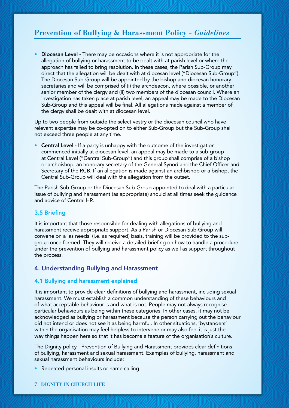Diocesan Level - There may be occasions where it is not appropriate for the allegation of bullying or harassment to be dealt with at parish level or where the approach has failed to bring resolution. In these cases, the Parish Sub-Group may direct that the allegation will be dealt with at diocesan level ("Diocesan Sub-Group"). The Diocesan Sub-Group will be appointed by the bishop and diocesan honorary secretaries and will be comprised of (i) the archdeacon, where possible, or another senior member of the clergy and (ii) two members of the diocesan council. Where an investigation has taken place at parish level, an appeal may be made to the Diocesan Sub-Group and this appeal will be final. All allegations made against a member of the clergy shall be dealt with at diocesan level.

Up to two people from outside the select vestry or the diocesan council who have relevant expertise may be co-opted on to either Sub-Group but the Sub-Group shall not exceed three people at any time.

• Central Level - If a party is unhappy with the outcome of the investigation commenced initially at diocesan level, an appeal may be made to a sub-group at Central Level ("Central Sub-Group") and this group shall comprise of a bishop or archbishop, an honorary secretary of the General Synod and the Chief Officer and Secretary of the RCB. If an allegation is made against an archbishop or a bishop, the Central Sub-Group will deal with the allegation from the outset.

The Parish Sub-Group or the Diocesan Sub-Group appointed to deal with a particular issue of bullying and harassment (as appropriate) should at all times seek the guidance and advice of Central HR.

### 3.5 Briefing

It is important that those responsible for dealing with allegations of bullying and harassment receive appropriate support. As a Parish or Diocesan Sub-Group will convene on a 'as needs' (i.e. as required) basis, training will be provided to the subgroup once formed. They will receive a detailed briefing on how to handle a procedure under the prevention of bullying and harassment policy as well as support throughout the process.

### 4. Understanding Bullying and Harassment

#### 4.1 Bullying and harassment explained

It is important to provide clear definitions of bullying and harassment, including sexual harassment. We must establish a common understanding of these behaviours and of what acceptable behaviour is and what is not. People may not always recognise particular behaviours as being within these categories. In other cases, it may not be acknowledged as bullying or harassment because the person carrying out the behaviour did not intend or does not see it as being harmful. In other situations, 'bystanders' within the organisation may feel helpless to intervene or may also feel it is just the way things happen here so that it has become a feature of the organisation's culture.

The Dignity policy - Prevention of Bullying and Harassment provides clear definitions of bullying, harassment and sexual harassment. Examples of bullying, harassment and sexual harassment behaviours include:

Repeated personal insults or name calling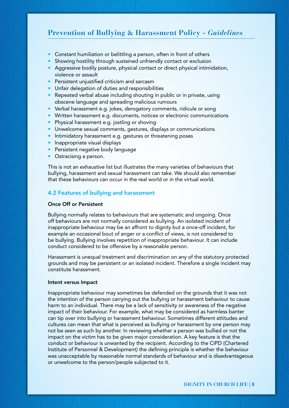- Constant humiliation or belittling a person, often in front of others
- Showing hostility through sustained unfriendly contact or exclusion
- Aggressive bodily posture, physical contact or direct physical intimidation, violence or assault
- Persistent uniustified criticism and sarcasm
- Unfair delegation of duties and responsibilities
- Repeated verbal abuse including shouting in public or in private, using obscene language and spreading malicious rumours
- Verbal harassment e.g. jokes, derogatory comments, ridicule or song
- Written harassment e.g. documents, notices or electronic communications
- Physical harassment e.g. jostling or shoving
- Unwelcome sexual comments, gestures, displays or communications
- Intimidatory harassment e.g. gestures or threatening poses
- Inappropriate visual displays
- Persistent negative body language
- Ostracising a person.

This is not an exhaustive list but illustrates the many varieties of behaviours that bullying, harassment and sexual harassment can take. We should also remember that these behaviours can occur in the real world or in the virtual world.

### 4.2 Features of bullying and harassment

### Once Off or Persistent

Bullying normally relates to behaviours that are systematic and ongoing. Once off behaviours are not normally considered as bullying. An isolated incident of inappropriate behaviour may be an affront to dignity but a once-off incident, for example an occasional bout of anger or a conflict of views, is not considered to be bullying. Bullying involves repetition of inappropriate behaviour. It can include conduct considered to be offensive by a reasonable person.

Harassment is unequal treatment and discrimination on any of the statutory protected grounds and may be persistent or an isolated incident. Therefore a single incident may constitute harassment.

#### Intent versus Impact

Inappropriate behaviour may sometimes be defended on the grounds that it was not the intention of the person carrying out the bullying or harassment behaviour to cause harm to an individual. There may be a lack of sensitivity or awareness of the negative impact of their behaviour. For example, what may be considered as harmless banter can tip over into bullying or harassment behaviour. Sometimes different attitudes and cultures can mean that what is perceived as bullying or harassment by one person may not be seen as such by another. In reviewing whether a person was bullied or not the impact on the victim has to be given major consideration. A key feature is that the conduct or behaviour is unwanted by the recipient. According to the CIPD (Chartered Institute of Personnel & Development) the defining principle is whether the behaviour was unacceptable by reasonable normal standards of behaviour and is disadvantageous or unwelcome to the person/people subjected to it.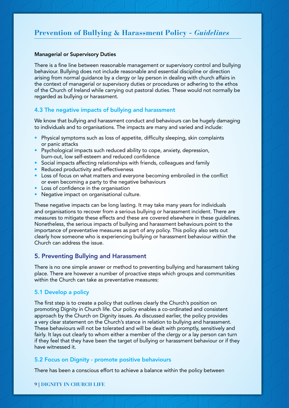#### Managerial or Supervisory Duties

There is a fine line between reasonable management or supervisory control and bullying behaviour. Bullying does not include reasonable and essential discipline or direction arising from normal guidance by a clergy or lay person in dealing with church affairs in the context of managerial or supervisory duties or procedures or adhering to the ethos of the Church of Ireland while carrying out pastoral duties. These would not normally be regarded as bullying or harassment.

### 4.3 The negative impacts of bullying and harassment

We know that bullying and harassment conduct and behaviours can be hugely damaging to individuals and to organisations. The impacts are many and varied and include:

- Physical symptoms such as loss of appetite, difficulty sleeping, skin complaints or panic attacks
- Psychological impacts such reduced ability to cope, anxiety, depression, burn-out, low self-esteem and reduced confidence
- Social impacts affecting relationships with friends, colleagues and family
- Reduced productivity and effectiveness
- Loss of focus on what matters and everyone becoming embroiled in the conflict or even becoming a party to the negative behaviours
- Loss of confidence in the organisation
- Negative impact on organisational culture.

These negative impacts can be long lasting. It may take many years for individuals and organisations to recover from a serious bullying or harassment incident. There are measures to mitigate these effects and these are covered elsewhere in these guidelines. Nonetheless, the serious impacts of bullying and harassment behaviours point to the importance of preventative measures as part of any policy. This policy also sets out clearly how someone who is experiencing bullying or harassment behaviour within the Church can address the issue.

### 5. Preventing Bullying and Harassment

There is no one simple answer or method to preventing bullying and harassment taking place. There are however a number of proactive steps which groups and communities within the Church can take as preventative measures:

### 5.1 Develop a policy

The first step is to create a policy that outlines clearly the Church's position on promoting Dignity in Church life. Our policy enables a co-ordinated and consistent approach by the Church on Dignity issues. As discussed earlier, the policy provides a very clear statement on the Church's stance in relation to bullying and harassment. These behaviours will not be tolerated and will be dealt with promptly, sensitively and fairly. It lays out clearly to whom either a member of the clergy or a lay person can turn if they feel that they have been the target of bullying or harassment behaviour or if they have witnessed it.

### 5.2 Focus on Dignity - promote positive behaviours

There has been a conscious effort to achieve a balance within the policy between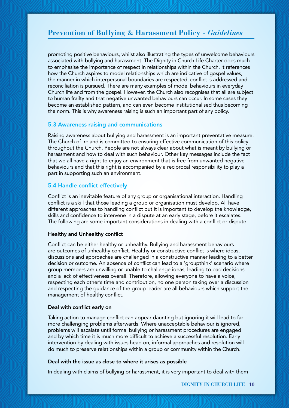promoting positive behaviours, whilst also illustrating the types of unwelcome behaviours associated with bullying and harassment. The Dignity in Church Life Charter does much to emphasise the importance of respect in relationships within the Church. It references how the Church aspires to model relationships which are indicative of gospel values, the manner in which interpersonal boundaries are respected, conflict is addressed and reconciliation is pursued. There are many examples of model behaviours in everyday Church life and from the gospel. However, the Church also recognises that all are subject to human frailty and that negative unwanted behaviours can occur. In some cases they become an established pattern, and can even become institutionalised thus becoming the norm. This is why awareness raising is such an important part of any policy.

### 5.3 Awareness raising and communications

Raising awareness about bullying and harassment is an important preventative measure. The Church of Ireland is committed to ensuring effective communication of this policy throughout the Church. People are not always clear about what is meant by bullying or harassment and how to deal with such behaviour. Other key messages include the fact that we all have a right to enjoy an environment that is free from unwanted negative behaviours and that this right is accompanied by a reciprocal responsibility to play a part in supporting such an environment.

### 5.4 Handle conflict effectively

Conflict is an inevitable feature of any group or organisational interaction. Handling conflict is a skill that those leading a group or organisation must develop. All have different approaches to handling conflict but it is important to develop the knowledge, skills and confidence to intervene in a dispute at an early stage, before it escalates. The following are some important considerations in dealing with a conflict or dispute.

### Healthy and Unhealthy conflict

Conflict can be either healthy or unhealthy. Bullying and harassment behaviours are outcomes of unhealthy conflict. Healthy or constructive conflict is where ideas, discussions and approaches are challenged in a constructive manner leading to a better decision or outcome. An absence of conflict can lead to a 'groupthink' scenario where group members are unwilling or unable to challenge ideas, leading to bad decisions and a lack of effectiveness overall. Therefore, allowing everyone to have a voice, respecting each other's time and contribution, no one person taking over a discussion and respecting the guidance of the group leader are all behaviours which support the management of healthy conflict.

#### Deal with conflict early on

Taking action to manage conflict can appear daunting but ignoring it will lead to far more challenging problems afterwards. Where unacceptable behaviour is ignored, problems will escalate until formal bullying or harassment procedures are engaged and by which time it is much more difficult to achieve a successful resolution. Early intervention by dealing with issues head on, informal approaches and resolution will do much to preserve relationships within a group or community within the Church.

#### Deal with the issue as close to where it arises as possible

In dealing with claims of bullying or harassment, it is very important to deal with them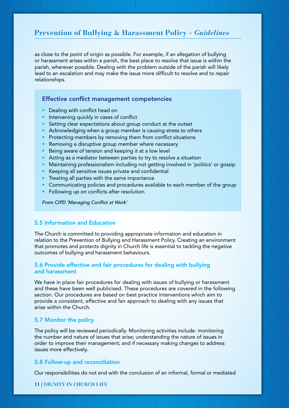as close to the point of origin as possible. For example, if an allegation of bullying or harassment arises within a parish, the best place to resolve that issue is within the parish, wherever possible. Dealing with the problem outside of the parish will likely lead to an escalation and may make the issue more difficult to resolve and to repair relationships.

### Effective conflict management competencies

- Dealing with conflict head on
- Intervening quickly in cases of conflict
- Setting clear expectations about group conduct at the outset
- Acknowledging when a group member is causing stress to others
- Protecting members by removing them from conflict situations
- Removing a disruptive group member where necessary
- Being aware of tension and keeping it at a low level
- Acting as a mediator between parties to try to resolve a situation
- Maintaining professionalism including not getting involved in 'politics' or gossip
- Keeping all sensitive issues private and confidential
- Treating all parties with the same importance
- Communicating policies and procedures available to each member of the group
- Following up on conflicts after resolution.

*From CIPD 'Managing Conflict at Work'*

### 5.5 Information and Education

The Church is committed to providing appropriate information and education in relation to the Prevention of Bullying and Harassment Policy. Creating an environment that promotes and protects dignity in Church life is essential to tackling the negative outcomes of bullying and harassment behaviours.

### 5.6 Provide effective and fair procedures for dealing with bullying and harassment

We have in place fair procedures for dealing with issues of bullying or harassment and these have been well publicised. These procedures are covered in the following section. Our procedures are based on best practice interventions which aim to provide a consistent, effective and fair approach to dealing with any issues that arise within the Church.

### 5.7 Monitor the policy

The policy will be reviewed periodically. Monitoring activities include: monitoring the number and nature of issues that arise; understanding the nature of issues in order to improve their management; and if necessary making changes to address issues more effectively.

#### 5.8 Follow-up and reconciliation

Our responsibilities do not end with the conclusion of an informal, formal or mediated

### **11 | DIGNITY IN CHURCH LIFE**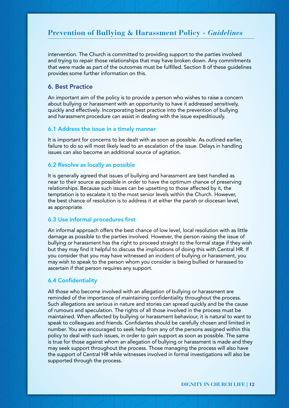intervention. The Church is committed to providing support to the parties involved and trying to repair those relationships that may have broken down. Any commitments that were made as part of the outcomes must be fulfilled. Section 8 of these guidelines provides some further information on this.

### 6. Best Practice

An important aim of the policy is to provide a person who wishes to raise a concern about bullying or harassment with an opportunity to have it addressed sensitively, quickly and effectively. Incorporating best practice into the prevention of bullying and harassment procedure can assist in dealing with the issue expeditiously.

#### 6.1 Address the issue in a timely manner

It is important for concerns to be dealt with as soon as possible. As outlined earlier, failure to do so will most likely lead to an escalation of the issue. Delays in handling issues can also become an additional source of agitation.

#### 6.2 Resolve as locally as possible

It is generally agreed that issues of bullying and harassment are best handled as near to their source as possible in order to have the optimum chance of preserving relationships. Because such issues can be upsetting to those affected by it, the temptation is to escalate it to the most senior levels within the Church. However, the best chance of resolution is to address it at either the parish or diocesan level, as appropriate.

### 6.3 Use informal procedures first

An informal approach offers the best chance of low level, local resolution with as little damage as possible to the parties involved. However, the person raising the issue of bullying or harassment has the right to proceed straight to the formal stage if they wish but they may find it helpful to discuss the implications of doing this with Central HR. If you consider that you may have witnessed an incident of bullying or harassment, you may wish to speak to the person whom you consider is being bullied or harassed to ascertain if that person requires any support.

### 6.4 Confidentiality

All those who become involved with an allegation of bullying or harassment are reminded of the importance of maintaining confidentiality throughout the process. Such allegations are serious in nature and stories can spread quickly and be the cause of rumours and speculation. The rights of all those involved in the process must be maintained. When affected by bullying or harassment behaviour, it is natural to want to speak to colleagues and friends. Confidantes should be carefully chosen and limited in number. You are encouraged to seek help from any of the persons assigned within this policy to deal with such issues, in order to gain support as soon as possible. The same is true for those against whom an allegation of bullying or harassment is made and they may seek support throughout the process. Those managing the process will also have the support of Central HR while witnesses involved in formal investigations will also be supported through the process.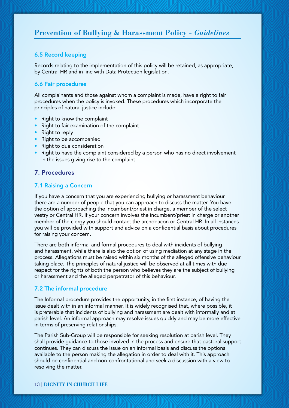### 6.5 Record keeping

Records relating to the implementation of this policy will be retained, as appropriate, by Central HR and in line with Data Protection legislation.

### 6.6 Fair procedures

All complainants and those against whom a complaint is made, have a right to fair procedures when the policy is invoked. These procedures which incorporate the principles of natural justice include:

- Right to know the complaint
- Right to fair examination of the complaint
- Right to reply
- Right to be accompanied
- Right to due consideration
- Right to have the complaint considered by a person who has no direct involvement in the issues giving rise to the complaint.

### 7. Procedures

### 7.1 Raising a Concern

If you have a concern that you are experiencing bullying or harassment behaviour there are a number of people that you can approach to discuss the matter. You have the option of approaching the incumbent/priest in charge, a member of the select vestry or Central HR. If your concern involves the incumbent/priest in charge or another member of the clergy you should contact the archdeacon or Central HR. In all instances you will be provided with support and advice on a confidential basis about procedures for raising your concern.

There are both informal and formal procedures to deal with incidents of bullying and harassment, while there is also the option of using mediation at any stage in the process. Allegations must be raised within six months of the alleged offensive behaviour taking place. The principles of natural justice will be observed at all times with due respect for the rights of both the person who believes they are the subject of bullying or harassment and the alleged perpetrator of this behaviour.

### 7.2 The informal procedure

The Informal procedure provides the opportunity, in the first instance, of having the issue dealt with in an informal manner. It is widely recognised that, where possible, it is preferable that incidents of bullying and harassment are dealt with informally and at parish level. An informal approach may resolve issues quickly and may be more effective in terms of preserving relationships.

The Parish Sub-Group will be responsible for seeking resolution at parish level. They shall provide guidance to those involved in the process and ensure that pastoral support continues. They can discuss the issue on an informal basis and discuss the options available to the person making the allegation in order to deal with it. This approach should be confidential and non-confrontational and seek a discussion with a view to resolving the matter.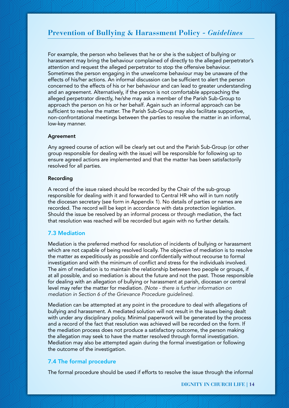For example, the person who believes that he or she is the subject of bullying or harassment may bring the behaviour complained of directly to the alleged perpetrator's attention and request the alleged perpetrator to stop the offensive behaviour. Sometimes the person engaging in the unwelcome behaviour may be unaware of the effects of his/her actions. An informal discussion can be sufficient to alert the person concerned to the effects of his or her behaviour and can lead to greater understanding and an agreement. Alternatively, if the person is not comfortable approaching the alleged perpetrator directly, he/she may ask a member of the Parish Sub-Group to approach the person on his or her behalf. Again such an informal approach can be sufficient to resolve the matter. The Parish Sub-Group may also facilitate supportive, non-confrontational meetings between the parties to resolve the matter in an informal, low-key manner.

#### **Agreement**

Any agreed course of action will be clearly set out and the Parish Sub-Group (or other group responsible for dealing with the issue) will be responsible for following up to ensure agreed actions are implemented and that the matter has been satisfactorily resolved for all parties.

### Recording

A record of the issue raised should be recorded by the Chair of the sub-group responsible for dealing with it and forwarded to Central HR who will in turn notify the diocesan secretary (see form in Appendix 1). No details of parties or names are recorded. The record will be kept in accordance with data protection legislation. Should the issue be resolved by an informal process or through mediation, the fact that resolution was reached will be recorded but again with no further details.

### 7.3 Mediation

Mediation is the preferred method for resolution of incidents of bullying or harassment which are not capable of being resolved locally. The objective of mediation is to resolve the matter as expeditiously as possible and confidentially without recourse to formal investigation and with the minimum of conflict and stress for the individuals involved. The aim of mediation is to maintain the relationship between two people or groups, if at all possible, and so mediation is about the future and not the past. Those responsible for dealing with an allegation of bullying or harassment at parish, diocesan or central level may refer the matter for mediation. *(Note - there is further information on mediation in Section 6 of the Grievance Procedure guidelines).*

Mediation can be attempted at any point in the procedure to deal with allegations of bullying and harassment. A mediated solution will not result in the issues being dealt with under any disciplinary policy. Minimal paperwork will be generated by the process and a record of the fact that resolution was achieved will be recorded on the form. If the mediation process does not produce a satisfactory outcome, the person making the allegation may seek to have the matter resolved through formal investigation. Mediation may also be attempted again during the formal investigation or following the outcome of the investigation.

### 7.4 The formal procedure

The formal procedure should be used if efforts to resolve the issue through the informal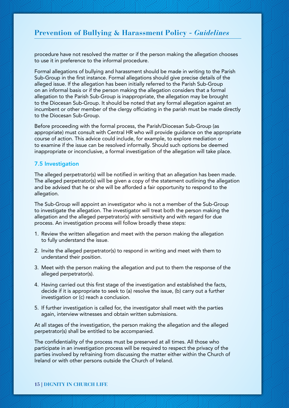procedure have not resolved the matter or if the person making the allegation chooses to use it in preference to the informal procedure.

Formal allegations of bullying and harassment should be made in writing to the Parish Sub-Group in the first instance. Formal allegations should give precise details of the alleged issue. If the allegation has been initially referred to the Parish Sub-Group on an informal basis or if the person making the allegation considers that a formal allegation to the Parish Sub-Group is inappropriate, the allegation may be brought to the Diocesan Sub-Group. It should be noted that any formal allegation against an incumbent or other member of the clergy officiating in the parish must be made directly to the Diocesan Sub-Group.

Before proceeding with the formal process, the Parish/Diocesan Sub-Group (as appropriate) must consult with Central HR who will provide guidance on the appropriate course of action. This advice could include, for example, to explore mediation or to examine if the issue can be resolved informally. Should such options be deemed inappropriate or inconclusive, a formal investigation of the allegation will take place.

### 7.5 Investigation

The alleged perpetrator(s) will be notified in writing that an allegation has been made. The alleged perpetrator(s) will be given a copy of the statement outlining the allegation and be advised that he or she will be afforded a fair opportunity to respond to the allegation.

The Sub-Group will appoint an investigator who is not a member of the Sub-Group to investigate the allegation. The investigator will treat both the person making the allegation and the alleged perpetrator(s) with sensitivity and with regard for due process. An investigation process will follow broadly these steps:

- 1. Review the written allegation and meet with the person making the allegation to fully understand the issue.
- 2. Invite the alleged perpetrator(s) to respond in writing and meet with them to understand their position.
- 3. Meet with the person making the allegation and put to them the response of the alleged perpetrator(s).
- 4. Having carried out this first stage of the investigation and established the facts, decide if it is appropriate to seek to (a) resolve the issue, (b) carry out a further investigation or (c) reach a conclusion.
- 5. If further investigation is called for, the investigator shall meet with the parties again, interview witnesses and obtain written submissions.

At all stages of the investigation, the person making the allegation and the alleged perpetrator(s) shall be entitled to be accompanied.

The confidentiality of the process must be preserved at all times. All those who participate in an investigation process will be required to respect the privacy of the parties involved by refraining from discussing the matter either within the Church of Ireland or with other persons outside the Church of Ireland.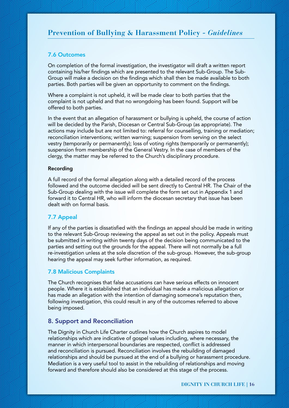### 7.6 Outcomes

On completion of the formal investigation, the investigator will draft a written report containing his/her findings which are presented to the relevant Sub-Group. The Sub-Group will make a decision on the findings which shall then be made available to both parties. Both parties will be given an opportunity to comment on the findings.

Where a complaint is not upheld, it will be made clear to both parties that the complaint is not upheld and that no wrongdoing has been found. Support will be offered to both parties.

In the event that an allegation of harassment or bullying is upheld, the course of action will be decided by the Parish, Diocesan or Central Sub-Group (as appropriate). The actions may include but are not limited to: referral for counselling, training or mediation; reconciliation interventions; written warning; suspension from serving on the select vestry (temporarily or permanently); loss of voting rights (temporarily or permanently); suspension from membership of the General Vestry. In the case of members of the clergy, the matter may be referred to the Church's disciplinary procedure.

### Recording

A full record of the formal allegation along with a detailed record of the process followed and the outcome decided will be sent directly to Central HR. The Chair of the Sub-Group dealing with the issue will complete the form set out in Appendix 1 and forward it to Central HR, who will inform the diocesan secretary that issue has been dealt with on formal basis.

### 7.7 Appeal

If any of the parties is dissatisfied with the findings an appeal should be made in writing to the relevant Sub-Group reviewing the appeal as set out in the policy. Appeals must be submitted in writing within twenty days of the decision being communicated to the parties and setting out the grounds for the appeal. There will not normally be a full re-investigation unless at the sole discretion of the sub-group. However, the sub-group hearing the appeal may seek further information, as required.

### 7.8 Malicious Complaints

The Church recognises that false accusations can have serious effects on innocent people. Where it is established that an individual has made a malicious allegation or has made an allegation with the intention of damaging someone's reputation then, following investigation, this could result in any of the outcomes referred to above being imposed.

### 8. Support and Reconciliation

The Dignity in Church Life Charter outlines how the Church aspires to model relationships which are indicative of gospel values including, where necessary, the manner in which interpersonal boundaries are respected, conflict is addressed and reconciliation is pursued. Reconciliation involves the rebuilding of damaged relationships and should be pursued at the end of a bullying or harassment procedure. Mediation is a very useful tool to assist in the rebuilding of relationships and moving forward and therefore should also be considered at this stage of the process.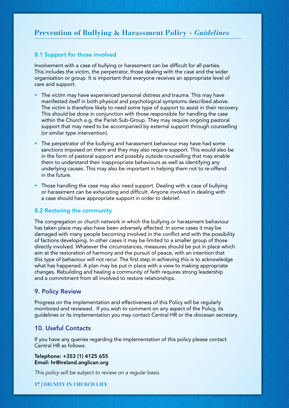### 8.1 Support for those involved

Involvement with a case of bullying or harassment can be difficult for all parties. This includes the victim, the perpetrator, those dealing with the case and the wider organisation or group. It is important that everyone receives an appropriate level of care and support.

- The victim may have experienced personal distress and trauma. This may have manifested itself in both physical and psychological symptoms described above. The victim is therefore likely to need some type of support to assist in their recovery. This should be done in conjunction with those responsible for handling the case within the Church e.g. the Parish Sub-Group. They may require ongoing pastoral support that may need to be accompanied by external support through counselling (or similar type intervention).
- The perpetrator of the bullying and harassment behaviour may have had some sanctions imposed on them and they may also require support. This would also be in the form of pastoral support and possibly outside counselling that may enable them to understand their inappropriate behaviours as well as identifying any underlying causes. This may also be important in helping them not to re-offend in the future.
- Those handling the case may also need support. Dealing with a case of bullying or harassment can be exhausting and difficult. Anyone involved in dealing with a case should have appropriate support in order to debrief.

### 8.2 Restoring the community

The congregation or church network in which the bullying or harassment behaviour has taken place may also have been adversely affected. In some cases it may be damaged with many people becoming involved in the conflict and with the possibility of factions developing. In other cases it may be limited to a smaller group of those directly involved. Whatever the circumstances, measures should be put in place which aim at the restoration of harmony and the pursuit of peace, with an intention that this type of behaviour will not recur. The first step in achieving this is to acknowledge what has happened. A plan may be put in place with a view to making appropriate changes. Rebuilding and healing a community of faith requires strong leadership and a commitment from all involved to restore relationships.

### 9. Policy Review

Progress on the implementation and effectiveness of this Policy will be regularly monitored and reviewed. If you wish to comment on any aspect of the Policy, its guidelines or its implementation you may contact Central HR or the diocesan secretary.

### 10. Useful Contacts

If you have any queries regarding the implementation of this policy please contact Central HR as follows:

#### Telephone: +353 (1) 4125 655 Email: hr@ireland.anglican.org

*This policy will be subject to review on a regular basis.*

### **17 | DIGNITY IN CHURCH LIFE**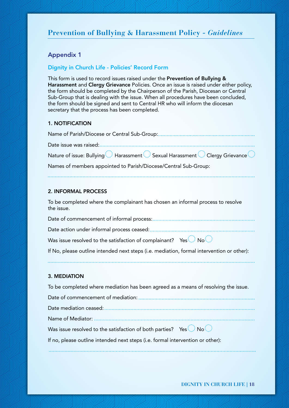### Appendix 1

### Dignity in Church Life - Policies' Record Form

This form is used to record issues raised under the Prevention of Bullying & Harassment and Clergy Grievance Policies. Once an issue is raised under either policy, the form should be completed by the Chairperson of the Parish, Diocesan or Central Sub-Group that is dealing with the issue. When all procedures have been concluded, the form should be signed and sent to Central HR who will inform the diocesan secretary that the process has been completed.

### 1. NOTIFICATION

| Names of members appointed to Parish/Diocese/Central Sub-Group: |
|-----------------------------------------------------------------|

### 2. INFORMAL PROCESS

To be completed where the complainant has chosen an informal process to resolve the issue.

Date of commencement of informal process: Date action under informal process ceased:

Was issue resolved to the satisfaction of complainant? Yes  $\overline{\mathbb{C}}$  No $\overline{\mathbb{C}}$ 

If No, please outline intended next steps (i.e. mediation, formal intervention or other):

### 3. MEDIATION

| To be completed where mediation has been agreed as a means of resolving the issue. |  |
|------------------------------------------------------------------------------------|--|
|                                                                                    |  |
|                                                                                    |  |
|                                                                                    |  |
| Was issue resolved to the satisfaction of both parties? Yes                        |  |
| If no, please outline intended next steps (i.e. formal intervention or other):     |  |
|                                                                                    |  |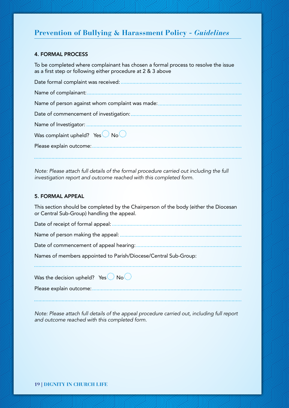### 4. FORMAL PROCESS

To be completed where complainant has chosen a formal process to resolve the issue as a first step or following either procedure at 2 & 3 above

| Date formal complaint was received:             |
|-------------------------------------------------|
|                                                 |
| Name of person against whom complaint was made: |
| Date of commencement of investigation:          |
|                                                 |
| Was complaint upheld? Yes                       |
|                                                 |

*Note: Please attach full details of the formal procedure carried out including the full investigation report and outcome reached with this completed form.* 

### 5. FORMAL APPEAL

This section should be completed by the Chairperson of the body (either the Diocesan or Central Sub-Group) handling the appeal.

Date of receipt of formal appeal: Name of person making the appeal:

Date of commencement of appeal hearing:

Names of members appointed to Parish/Diocese/Central Sub-Group:

Was the decision upheld? Yes  $\mathbb{R}^3$  No $\mathbb{R}^3$ 

Please explain outcome:

*Note: Please attach full details of the appeal procedure carried out, including full report and outcome reached with this completed form.*